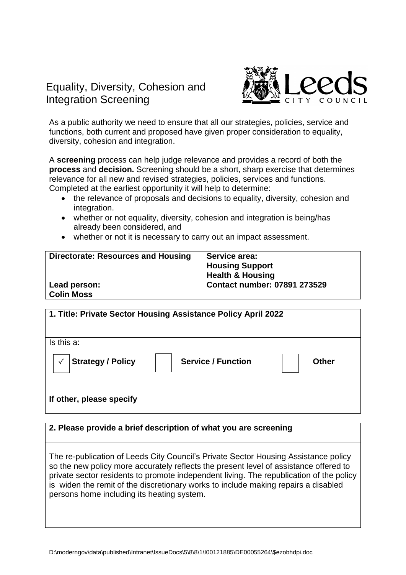## Equality, Diversity, Cohesion and Integration Screening



As a public authority we need to ensure that all our strategies, policies, service and functions, both current and proposed have given proper consideration to equality, diversity, cohesion and integration.

A **screening** process can help judge relevance and provides a record of both the **process** and **decision.** Screening should be a short, sharp exercise that determines relevance for all new and revised strategies, policies, services and functions. Completed at the earliest opportunity it will help to determine:

- the relevance of proposals and decisions to equality, diversity, cohesion and integration.
- whether or not equality, diversity, cohesion and integration is being/has already been considered, and
- whether or not it is necessary to carry out an impact assessment.

| <b>Directorate: Resources and Housing</b> | <b>Service area:</b><br><b>Housing Support</b><br><b>Health &amp; Housing</b> |
|-------------------------------------------|-------------------------------------------------------------------------------|
| Lead person:<br><b>Colin Moss</b>         | <b>Contact number: 07891 273529</b>                                           |

| 1. Title: Private Sector Housing Assistance Policy April 2022 |                           |              |  |  |
|---------------------------------------------------------------|---------------------------|--------------|--|--|
| Is this a:                                                    |                           |              |  |  |
| <b>Strategy / Policy</b><br>$\checkmark$                      | <b>Service / Function</b> | <b>Other</b> |  |  |
| If other, please specify                                      |                           |              |  |  |

## **2. Please provide a brief description of what you are screening**

The re-publication of Leeds City Council's Private Sector Housing Assistance policy so the new policy more accurately reflects the present level of assistance offered to private sector residents to promote independent living. The republication of the policy is widen the remit of the discretionary works to include making repairs a disabled persons home including its heating system.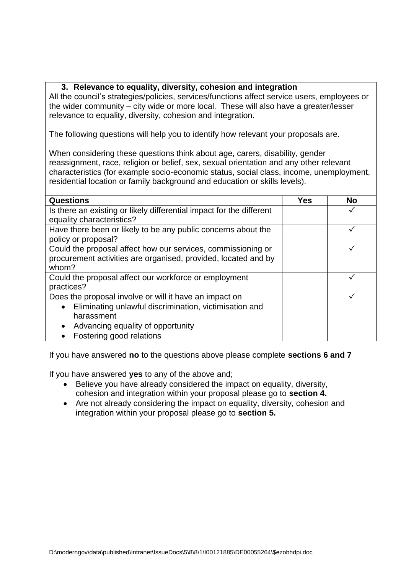## **3. Relevance to equality, diversity, cohesion and integration**

All the council's strategies/policies, services/functions affect service users, employees or the wider community – city wide or more local. These will also have a greater/lesser relevance to equality, diversity, cohesion and integration.

The following questions will help you to identify how relevant your proposals are.

When considering these questions think about age, carers, disability, gender reassignment, race, religion or belief, sex, sexual orientation and any other relevant characteristics (for example socio-economic status, social class, income, unemployment, residential location or family background and education or skills levels).

| <b>Questions</b>                                                     | Yes | <b>No</b> |
|----------------------------------------------------------------------|-----|-----------|
| Is there an existing or likely differential impact for the different |     |           |
| equality characteristics?                                            |     |           |
| Have there been or likely to be any public concerns about the        |     |           |
| policy or proposal?                                                  |     |           |
| Could the proposal affect how our services, commissioning or         |     |           |
| procurement activities are organised, provided, located and by       |     |           |
| whom?                                                                |     |           |
| Could the proposal affect our workforce or employment                |     |           |
| practices?                                                           |     |           |
| Does the proposal involve or will it have an impact on               |     |           |
| Eliminating unlawful discrimination, victimisation and<br>$\bullet$  |     |           |
| harassment                                                           |     |           |
| Advancing equality of opportunity                                    |     |           |
| Fostering good relations                                             |     |           |

If you have answered **no** to the questions above please complete **sections 6 and 7**

If you have answered **yes** to any of the above and;

- Believe you have already considered the impact on equality, diversity, cohesion and integration within your proposal please go to **section 4.**
- Are not already considering the impact on equality, diversity, cohesion and integration within your proposal please go to **section 5.**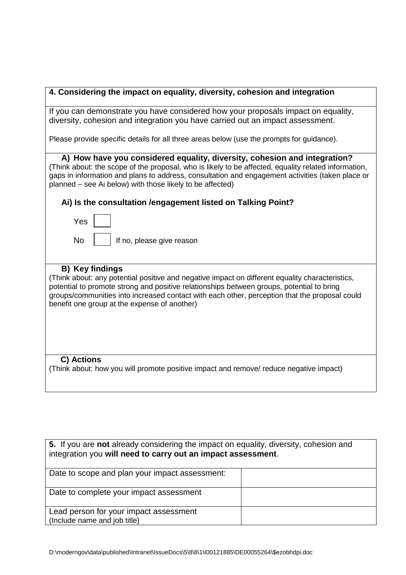| 4. Considering the impact on equality, diversity, cohesion and integration                                                                                                                                                                                                                                                                                              |  |  |  |
|-------------------------------------------------------------------------------------------------------------------------------------------------------------------------------------------------------------------------------------------------------------------------------------------------------------------------------------------------------------------------|--|--|--|
| If you can demonstrate you have considered how your proposals impact on equality,                                                                                                                                                                                                                                                                                       |  |  |  |
| diversity, cohesion and integration you have carried out an impact assessment.                                                                                                                                                                                                                                                                                          |  |  |  |
| Please provide specific details for all three areas below (use the prompts for guidance).                                                                                                                                                                                                                                                                               |  |  |  |
| A) How have you considered equality, diversity, cohesion and integration?                                                                                                                                                                                                                                                                                               |  |  |  |
| (Think about: the scope of the proposal, who is likely to be affected, equality related information,<br>gaps in information and plans to address, consultation and engagement activities (taken place or<br>planned – see Ai below) with those likely to be affected)                                                                                                   |  |  |  |
| Ai) Is the consultation / engagement listed on Talking Point?                                                                                                                                                                                                                                                                                                           |  |  |  |
| Yes                                                                                                                                                                                                                                                                                                                                                                     |  |  |  |
| <b>No</b><br>If no, please give reason                                                                                                                                                                                                                                                                                                                                  |  |  |  |
|                                                                                                                                                                                                                                                                                                                                                                         |  |  |  |
|                                                                                                                                                                                                                                                                                                                                                                         |  |  |  |
| <b>B)</b> Key findings<br>(Think about: any potential positive and negative impact on different equality characteristics,<br>potential to promote strong and positive relationships between groups, potential to bring<br>groups/communities into increased contact with each other, perception that the proposal could<br>benefit one group at the expense of another) |  |  |  |
|                                                                                                                                                                                                                                                                                                                                                                         |  |  |  |
|                                                                                                                                                                                                                                                                                                                                                                         |  |  |  |
| C) Actions<br>(Think about: how you will promote positive impact and remove/ reduce negative impact)                                                                                                                                                                                                                                                                    |  |  |  |
|                                                                                                                                                                                                                                                                                                                                                                         |  |  |  |
|                                                                                                                                                                                                                                                                                                                                                                         |  |  |  |
|                                                                                                                                                                                                                                                                                                                                                                         |  |  |  |
|                                                                                                                                                                                                                                                                                                                                                                         |  |  |  |
| 5. If you are not already considering the impact on equality, diversity, cohesion and                                                                                                                                                                                                                                                                                   |  |  |  |
| integration you will need to carry out an impact assessment.                                                                                                                                                                                                                                                                                                            |  |  |  |
| Date to scope and plan your impact assessment:                                                                                                                                                                                                                                                                                                                          |  |  |  |

Date to complete your impact assessment

Lead person for your impact assessment (Include name and job title)